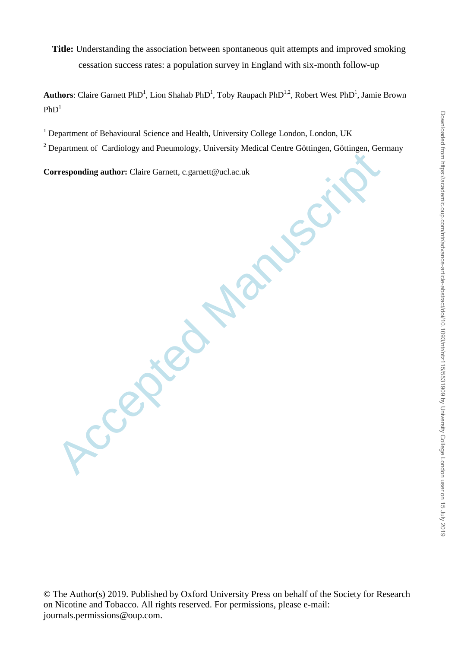**Title:** Understanding the association between spontaneous quit attempts and improved smoking cessation success rates: a population survey in England with six-month follow-up

Authors: Claire Garnett PhD<sup>1</sup>, Lion Shahab PhD<sup>1</sup>, Toby Raupach PhD<sup>1,2</sup>, Robert West PhD<sup>1</sup>, Jamie Brown  $PhD<sup>1</sup>$ 

<sup>1</sup> Department of Behavioural Science and Health, University College London, London, UK

<sup>2</sup> Department of Cardiology and Pneumology, University Medical Centre Göttingen, Göttingen, Germany

**Corresponding author:** Claire Garnett, c.garnett@ucl.ac.uk

**Accepted Manuscript** 

© The Author(s) 2019. Published by Oxford University Press on behalf of the Society for Research on Nicotine and Tobacco. All rights reserved. For permissions, please e-mail: journals.permissions@oup.com.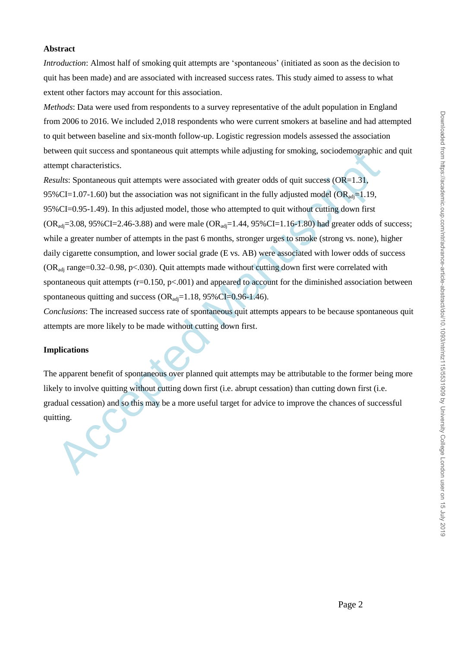### **Abstract**

*Introduction*: Almost half of smoking quit attempts are 'spontaneous' (initiated as soon as the decision to quit has been made) and are associated with increased success rates. This study aimed to assess to what extent other factors may account for this association.

*Methods*: Data were used from respondents to a survey representative of the adult population in England from 2006 to 2016. We included 2,018 respondents who were current smokers at baseline and had attempted to quit between baseline and six-month follow-up. Logistic regression models assessed the association between quit success and spontaneous quit attempts while adjusting for smoking, sociodemographic and quit attempt characteristics.

wend qui success sara spontaneous quit attempts winte anytism pro sinosting, sociodenographie<br>mpth characteristics.<br>
Manuscriptical states of the state of the fully adjusted model (OR<sub>ang</sub>=1.19,<br>
WeCI=1.07-1.60) but the a *Results*: Spontaneous quit attempts were associated with greater odds of quit success (OR=1.31, 95%CI=1.07-1.60) but the association was not significant in the fully adjusted model (OR<sub>adi</sub>=1.19, 95%CI=0.95-1.49). In this adjusted model, those who attempted to quit without cutting down first  $(OR_{\text{adi}}=3.08, 95\% \text{CI}=2.46-3.88)$  and were male  $(OR_{\text{adi}}=1.44, 95\% \text{CI}=1.16-1.80)$  had greater odds of success; while a greater number of attempts in the past 6 months, stronger urges to smoke (strong vs. none), higher daily cigarette consumption, and lower social grade (E vs. AB) were associated with lower odds of success  $(OR_{\text{adj}}$  range=0.32–0.98, p<.030). Quit attempts made without cutting down first were correlated with spontaneous quit attempts  $(r=0.150, p<.001)$  and appeared to account for the diminished association between spontaneous quitting and success  $(OR_{\text{adj}}=1.18, 95\%CI=0.96-1.46)$ .

*Conclusions*: The increased success rate of spontaneous quit attempts appears to be because spontaneous quit attempts are more likely to be made without cutting down first.

# **Implications**

The apparent benefit of spontaneous over planned quit attempts may be attributable to the former being more likely to involve quitting without cutting down first (i.e. abrupt cessation) than cutting down first (i.e. gradual cessation) and so this may be a more useful target for advice to improve the chances of successful quitting.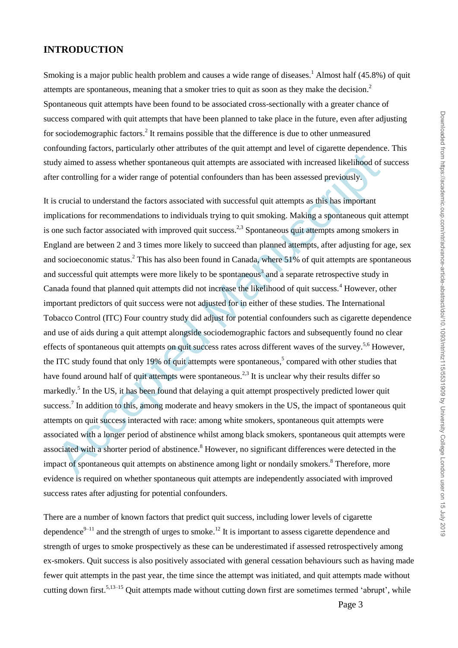# **INTRODUCTION**

Smoking is a major public health problem and causes a wide range of diseases.<sup>1</sup> Almost half (45.8%) of quit attempts are spontaneous, meaning that a smoker tries to quit as soon as they make the decision. 2 Spontaneous quit attempts have been found to be associated cross-sectionally with a greater chance of success compared with quit attempts that have been planned to take place in the future, even after adjusting for sociodemographic factors. 2 It remains possible that the difference is due to other unmeasured confounding factors, particularly other attributes of the quit attempt and level of cigarette dependence. This study aimed to assess whether spontaneous quit attempts are associated with increased likelihood of success after controlling for a wider range of potential confounders than has been assessed previously.

dy aimed to assess whether spontaneous quit attempts are associated with increased likelifiood of<br>er controlling for a wider range of potential confounders than has been assessed previously.<br>So crucial to understand the fa It is crucial to understand the factors associated with successful quit attempts as this has important implications for recommendations to individuals trying to quit smoking. Making a spontaneous quit attempt is one such factor associated with improved quit success.<sup>2,3</sup> Spontaneous quit attempts among smokers in England are between 2 and 3 times more likely to succeed than planned attempts, after adjusting for age, sex and socioeconomic status.<sup>2</sup> This has also been found in Canada, where 51% of quit attempts are spontaneous and successful quit attempts were more likely to be spontaneous<sup>3</sup> and a separate retrospective study in Canada found that planned quit attempts did not increase the likelihood of quit success.<sup>4</sup> However, other important predictors of quit success were not adjusted for in either of these studies. The International Tobacco Control (ITC) Four country study did adjust for potential confounders such as cigarette dependence and use of aids during a quit attempt alongside sociodemographic factors and subsequently found no clear effects of spontaneous quit attempts on quit success rates across different waves of the survey.<sup>5,6</sup> However, the ITC study found that only 19% of quit attempts were spontaneous, 5 compared with other studies that have found around half of quit attempts were spontaneous.<sup>2,3</sup> It is unclear why their results differ so markedly.<sup>5</sup> In the US, it has been found that delaying a quit attempt prospectively predicted lower quit success.<sup>7</sup> In addition to this, among moderate and heavy smokers in the US, the impact of spontaneous quit attempts on quit success interacted with race: among white smokers, spontaneous quit attempts were associated with a longer period of abstinence whilst among black smokers, spontaneous quit attempts were associated with a shorter period of abstinence.<sup>8</sup> However, no significant differences were detected in the impact of spontaneous quit attempts on abstinence among light or nondaily smokers.<sup>8</sup> Therefore, more evidence is required on whether spontaneous quit attempts are independently associated with improved success rates after adjusting for potential confounders.

There are a number of known factors that predict quit success, including lower levels of cigarette dependence $^{9-11}$  and the strength of urges to smoke.<sup>12</sup> It is important to assess cigarette dependence and strength of urges to smoke prospectively as these can be underestimated if assessed retrospectively among ex-smokers. Quit success is also positively associated with general cessation behaviours such as having made fewer quit attempts in the past year, the time since the attempt was initiated, and quit attempts made without cutting down first.<sup>5,13–15</sup> Quit attempts made without cutting down first are sometimes termed 'abrupt', while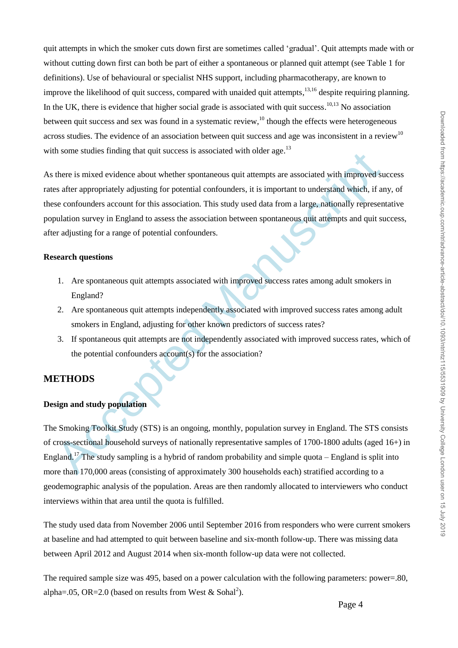quit attempts in which the smoker cuts down first are sometimes called 'gradual'. Quit attempts made with or without cutting down first can both be part of either a spontaneous or planned quit attempt (see Table 1 for definitions). Use of behavioural or specialist NHS support, including pharmacotherapy, are known to improve the likelihood of quit success, compared with unaided quit attempts,<sup>13,16</sup> despite requiring planning. In the UK, there is evidence that higher social grade is associated with quit success.<sup>10,13</sup> No association between quit success and sex was found in a systematic review,<sup>10</sup> though the effects were heterogeneous across studies. The evidence of an association between quit success and age was inconsistent in a review<sup>10</sup> with some studies finding that quit success is associated with older age.<sup>13</sup>

ation stations through the quirective systemative station and the exercise of the exercise of the exercise of the exercise of the properties are appropriately adjusting for potential confounders, it is important to underst As there is mixed evidence about whether spontaneous quit attempts are associated with improved success rates after appropriately adjusting for potential confounders, it is important to understand which, if any, of these confounders account for this association. This study used data from a large, nationally representative population survey in England to assess the association between spontaneous quit attempts and quit success, after adjusting for a range of potential confounders.

# **Research questions**

- 1. Are spontaneous quit attempts associated with improved success rates among adult smokers in England?
- 2. Are spontaneous quit attempts independently associated with improved success rates among adult smokers in England, adjusting for other known predictors of success rates?
- 3. If spontaneous quit attempts are not independently associated with improved success rates, which of the potential confounders account(s) for the association?

# **METHODS**

# **Design and study population**

The Smoking Toolkit Study (STS) is an ongoing, monthly, population survey in England. The STS consists of cross-sectional household surveys of nationally representative samples of 1700-1800 adults (aged 16+) in England.<sup>17</sup> The study sampling is a hybrid of random probability and simple quota – England is split into more than 170,000 areas (consisting of approximately 300 households each) stratified according to a geodemographic analysis of the population. Areas are then randomly allocated to interviewers who conduct interviews within that area until the quota is fulfilled.

The study used data from November 2006 until September 2016 from responders who were current smokers at baseline and had attempted to quit between baseline and six-month follow-up. There was missing data between April 2012 and August 2014 when six-month follow-up data were not collected.

The required sample size was 495, based on a power calculation with the following parameters: power=.80, alpha=.05, OR=2.0 (based on results from West & Sohal<sup>2</sup>).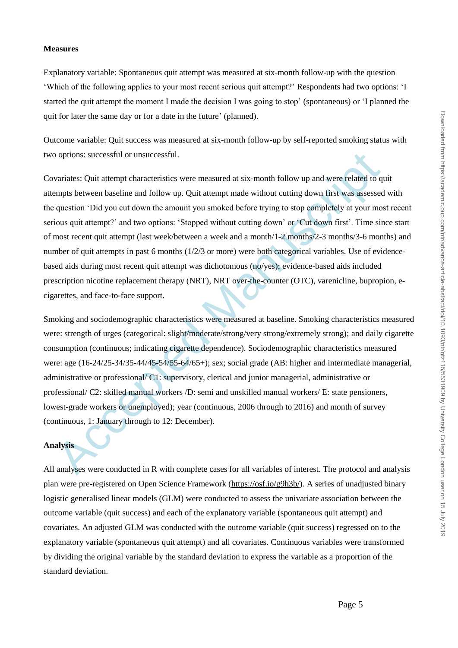#### **Measures**

Explanatory variable: Spontaneous quit attempt was measured at six-month follow-up with the question 'Which of the following applies to your most recent serious quit attempt?' Respondents had two options: 'I started the quit attempt the moment I made the decision I was going to stop' (spontaneous) or 'I planned the quit for later the same day or for a date in the future' (planned).

Outcome variable: Quit success was measured at six-month follow-up by self-reported smoking status with two options: successful or unsuccessful.

options: successful or unsuccessful.<br>variates: Quit attempt characteristics were measured at six-month follow up and were related to q<br>mpts between baseline and follow up. Quit attempt made without cutting down first was a Covariates: Quit attempt characteristics were measured at six-month follow up and were related to quit attempts between baseline and follow up. Quit attempt made without cutting down first was assessed with the question 'Did you cut down the amount you smoked before trying to stop completely at your most recent serious quit attempt?' and two options: 'Stopped without cutting down' or 'Cut down first'. Time since start of most recent quit attempt (last week/between a week and a month/1-2 months/2-3 months/3-6 months) and number of quit attempts in past 6 months (1/2/3 or more) were both categorical variables. Use of evidencebased aids during most recent quit attempt was dichotomous (no/yes); evidence-based aids included prescription nicotine replacement therapy (NRT), NRT over-the-counter (OTC), varenicline, bupropion, ecigarettes, and face-to-face support.

Smoking and sociodemographic characteristics were measured at baseline. Smoking characteristics measured were: strength of urges (categorical: slight/moderate/strong/very strong/extremely strong); and daily cigarette consumption (continuous; indicating cigarette dependence). Sociodemographic characteristics measured were: age (16-24/25-34/35-44/45-54/55-64/65+); sex; social grade (AB: higher and intermediate managerial, administrative or professional/ C1: supervisory, clerical and junior managerial, administrative or professional/ C2: skilled manual workers /D: semi and unskilled manual workers/ E: state pensioners, lowest-grade workers or unemployed); year (continuous, 2006 through to 2016) and month of survey (continuous, 1: January through to 12: December).

# **Analysis**

All analyses were conducted in R with complete cases for all variables of interest. The protocol and analysis plan were pre-registered on Open Science Framework [\(https://osf.io/g9h3b/\)](https://osf.io/g9h3b/). A series of unadjusted binary logistic generalised linear models (GLM) were conducted to assess the univariate association between the outcome variable (quit success) and each of the explanatory variable (spontaneous quit attempt) and covariates. An adjusted GLM was conducted with the outcome variable (quit success) regressed on to the explanatory variable (spontaneous quit attempt) and all covariates. Continuous variables were transformed by dividing the original variable by the standard deviation to express the variable as a proportion of the standard deviation.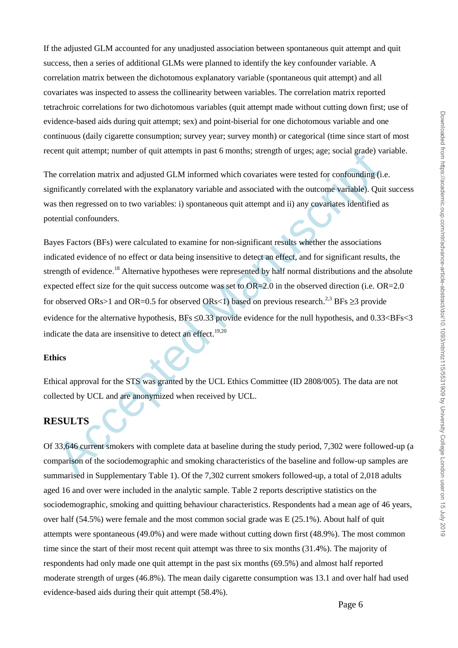If the adjusted GLM accounted for any unadjusted association between spontaneous quit attempt and quit success, then a series of additional GLMs were planned to identify the key confounder variable. A correlation matrix between the dichotomous explanatory variable (spontaneous quit attempt) and all covariates was inspected to assess the collinearity between variables. The correlation matrix reported tetrachroic correlations for two dichotomous variables (quit attempt made without cutting down first; use of evidence-based aids during quit attempt; sex) and point-biserial for one dichotomous variable and one continuous (daily cigarette consumption; survey year; survey month) or categorical (time since start of most recent quit attempt; number of quit attempts in past 6 months; strength of urges; age; social grade) variable.

The correlation matrix and adjusted GLM informed which covariates were tested for confounding (i.e. significantly correlated with the explanatory variable and associated with the outcome variable). Quit success was then regressed on to two variables: i) spontaneous quit attempt and ii) any covariates identified as potential confounders.

Entry and the streamed Manuscript in pass of months, sucregar or utges, sage, social grade) variations and adjusted GLM informed which covariates were tested for confounding (i.<br>
inficantly correlated with the explanatory Bayes Factors (BFs) were calculated to examine for non-significant results whether the associations indicated evidence of no effect or data being insensitive to detect an effect, and for significant results, the strength of evidence.<sup>18</sup> Alternative hypotheses were represented by half normal distributions and the absolute expected effect size for the quit success outcome was set to OR=2.0 in the observed direction (i.e. OR=2.0 for observed ORs>1 and OR=0.5 for observed ORs<1) based on previous research.<sup>2,3</sup> BFs ≥3 provide evidence for the alternative hypothesis, BFs  $\leq 0.33$  provide evidence for the null hypothesis, and 0.33 $\lt BFs \lt 3$ indicate the data are insensitive to detect an effect.<sup>19,20</sup>

# **Ethics**

Ethical approval for the STS was granted by the UCL Ethics Committee (ID 2808/005). The data are not collected by UCL and are anonymized when received by UCL.

# **RESULTS**

Of 33,646 current smokers with complete data at baseline during the study period, 7,302 were followed-up (a comparison of the sociodemographic and smoking characteristics of the baseline and follow-up samples are summarised in Supplementary Table 1). Of the 7,302 current smokers followed-up, a total of 2,018 adults aged 16 and over were included in the analytic sample. Table 2 reports descriptive statistics on the sociodemographic, smoking and quitting behaviour characteristics. Respondents had a mean age of 46 years, over half (54.5%) were female and the most common social grade was E (25.1%). About half of quit attempts were spontaneous (49.0%) and were made without cutting down first (48.9%). The most common time since the start of their most recent quit attempt was three to six months (31.4%). The majority of respondents had only made one quit attempt in the past six months (69.5%) and almost half reported moderate strength of urges (46.8%). The mean daily cigarette consumption was 13.1 and over half had used evidence-based aids during their quit attempt (58.4%).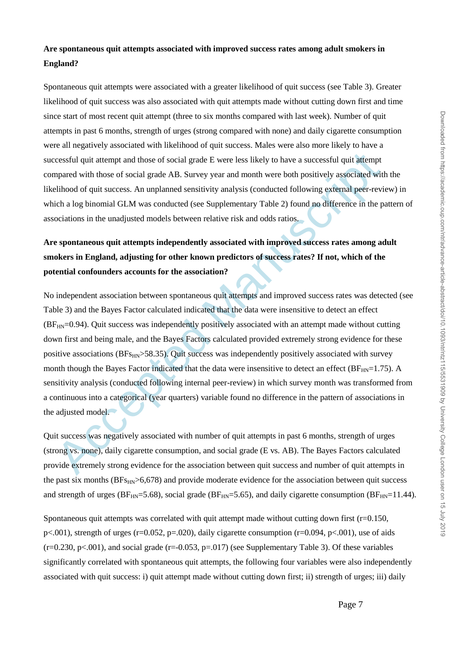# **Are spontaneous quit attempts associated with improved success rates among adult smokers in England?**

Spontaneous quit attempts were associated with a greater likelihood of quit success (see [Table 3\)](#page-15-0). Greater likelihood of quit success was also associated with quit attempts made without cutting down first and time since start of most recent quit attempt (three to six months compared with last week). Number of quit attempts in past 6 months, strength of urges (strong compared with none) and daily cigarette consumption were all negatively associated with likelihood of quit success. Males were also more likely to have a successful quit attempt and those of social grade E were less likely to have a successful quit attempt compared with those of social grade AB. Survey year and month were both positively associated with the likelihood of quit success. An unplanned sensitivity analysis (conducted following external peer-review) in which a log binomial GLM was conducted (see Supplementary Table 2) found no difference in the pattern of associations in the unadjusted models between relative risk and odds ratios.

# **Are spontaneous quit attempts independently associated with improved success rates among adult smokers in England, adjusting for other known predictors of success rates? If not, which of the potential confounders accounts for the association?**

cressful quit attempt and those of social grade F: were less likely to have a successful quit attempt<br>papared with those of social grade AB. Survey year and month were both positively associated wit<br>elihood of quit success No independent association between spontaneous quit attempts and improved success rates was detected (see Table 3) and the Bayes Factor calculated indicated that the data were insensitive to detect an effect  $(BF<sub>HN</sub>=0.94)$ . Quit success was independently positively associated with an attempt made without cutting down first and being male, and the Bayes Factors calculated provided extremely strong evidence for these positive associations ( $BF_{HN}>58.35$ ). Quit success was independently positively associated with survey month though the Bayes Factor indicated that the data were insensitive to detect an effect ( $BF_{HN}=1.75$ ). A sensitivity analysis (conducted following internal peer-review) in which survey month was transformed from a continuous into a categorical (year quarters) variable found no difference in the pattern of associations in the adjusted model.

Quit success was negatively associated with number of quit attempts in past 6 months, strength of urges (strong vs. none), daily cigarette consumption, and social grade (E vs. AB). The Bayes Factors calculated provide extremely strong evidence for the association between quit success and number of quit attempts in the past six months  $(BFs_{HN}>6,678)$  and provide moderate evidence for the association between quit success and strength of urges ( $BF_{HN}=5.68$ ), social grade ( $BF_{HN}=5.65$ ), and daily cigarette consumption ( $BF_{HN}=11.44$ ).

Spontaneous quit attempts was correlated with quit attempt made without cutting down first  $(r=0.150, r=0.150)$ p<.001), strength of urges (r=0.052, p=.020), daily cigarette consumption (r=0.094, p<.001), use of aids  $(r=0.230, p<0.01)$ , and social grade  $(r=-0.053, p=0.017)$  (see Supplementary Table 3). Of these variables significantly correlated with spontaneous quit attempts, the following four variables were also independently associated with quit success: i) quit attempt made without cutting down first; ii) strength of urges; iii) daily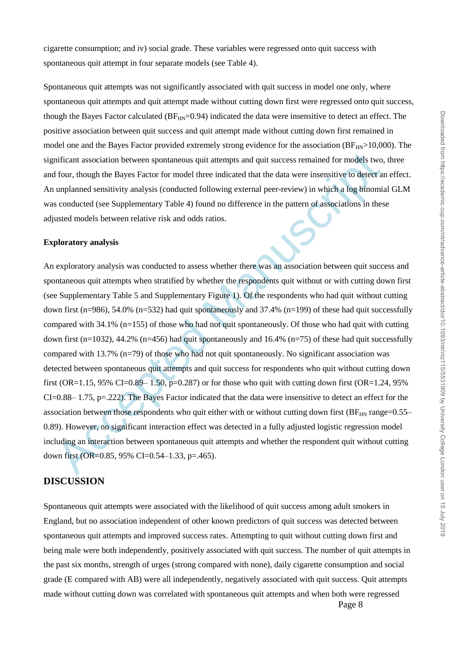cigarette consumption; and iv) social grade. These variables were regressed onto quit success with spontaneous quit attempt in four separate models (see Table 4).

Spontaneous quit attempts was not significantly associated with quit success in model one only, where spontaneous quit attempts and quit attempt made without cutting down first were regressed onto quit success, though the Bayes Factor calculated ( $BF<sub>HN</sub>=0.94$ ) indicated the data were insensitive to detect an effect. The positive association between quit success and quit attempt made without cutting down first remained in model one and the Bayes Factor provided extremely strong evidence for the association ( $BF_{HN}>10,000$ ). The significant association between spontaneous quit attempts and quit success remained for models two, three and four, though the Bayes Factor for model three indicated that the data were insensitive to detect an effect. An unplanned sensitivity analysis (conducted following external peer-review) in which a log binomial GLM was conducted (see Supplementary Table 4) found no difference in the pattern of associations in these adjusted models between relative risk and odds ratios.

#### **Exploratory analysis**

mificant association between spontaneous quit attempts and quit success remained for models two,<br>frour, though the Bayes Factor for model three indicated that the data were insensitive to detect at<br>unplanned sensitivity a An exploratory analysis was conducted to assess whether there was an association between quit success and spontaneous quit attempts when stratified by whether the respondents quit without or with cutting down first (see Supplementary Table 5 and Supplementary Figure 1). Of the respondents who had quit without cutting down first (n=986), 54.0% (n=532) had quit spontaneously and 37.4% (n=199) of these had quit successfully compared with 34.1% (n=155) of those who had not quit spontaneously. Of those who had quit with cutting down first (n=1032), 44.2% (n=456) had quit spontaneously and 16.4% (n=75) of these had quit successfully compared with 13.7% (n=79) of those who had not quit spontaneously. No significant association was detected between spontaneous quit attempts and quit success for respondents who quit without cutting down first (OR=1.15, 95% CI=0.89– 1.50, p=0.287) or for those who quit with cutting down first (OR=1.24, 95%)  $CI=0.88-1.75$ , p=.222). The Bayes Factor indicated that the data were insensitive to detect an effect for the association between those respondents who quit either with or without cutting down first ( $BF_{HN}$  range=0.55– 0.89). However, no significant interaction effect was detected in a fully adjusted logistic regression model including an interaction between spontaneous quit attempts and whether the respondent quit without cutting down first (OR=0.85, 95% CI=0.54–1.33, p=.465).

# **DISCUSSION**

Spontaneous quit attempts were associated with the likelihood of quit success among adult smokers in England, but no association independent of other known predictors of quit success was detected between spontaneous quit attempts and improved success rates. Attempting to quit without cutting down first and being male were both independently, positively associated with quit success. The number of quit attempts in the past six months, strength of urges (strong compared with none), daily cigarette consumption and social grade (E compared with AB) were all independently, negatively associated with quit success. Quit attempts made without cutting down was correlated with spontaneous quit attempts and when both were regressed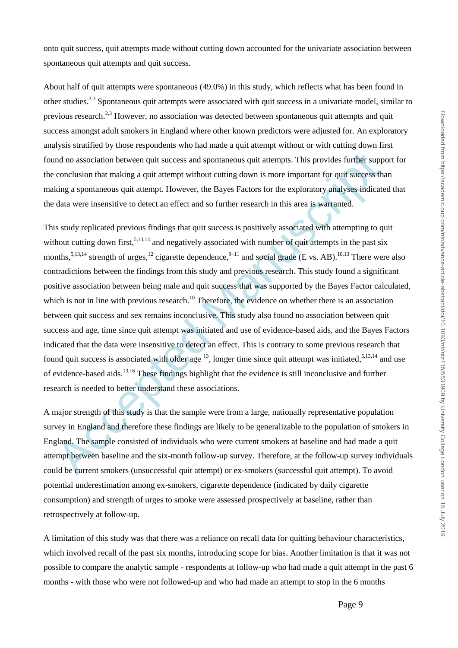onto quit success, quit attempts made without cutting down accounted for the univariate association between spontaneous quit attempts and quit success.

About half of quit attempts were spontaneous (49.0%) in this study, which reflects what has been found in other studies.<sup>2,3</sup> Spontaneous quit attempts were associated with quit success in a univariate model, similar to previous research.<sup>2,3</sup> However, no association was detected between spontaneous quit attempts and quit success amongst adult smokers in England where other known predictors were adjusted for. An exploratory analysis stratified by those respondents who had made a quit attempt without or with cutting down first found no association between quit success and spontaneous quit attempts. This provides further support for the conclusion that making a quit attempt without cutting down is more important for quit success than making a spontaneous quit attempt. However, the Bayes Factors for the exploratory analyses indicated that the data were insensitive to detect an effect and so further research in this area is warranted.

and no association between quit success and spontaneous quit attempts. This provides further suppronclusion that making a quit attempt without cutting down is more important for quit success the kind as a spontaneous quit This study replicated previous findings that quit success is positively associated with attempting to quit without cutting down first,<sup>5,13,14</sup> and negatively associated with number of quit attempts in the past six months,<sup>5,13,14</sup> strength of urges,<sup>12</sup> cigarette dependence,<sup>9–11</sup> and social grade (E vs. AB).<sup>10,13</sup> There were also contradictions between the findings from this study and previous research. This study found a significant positive association between being male and quit success that was supported by the Bayes Factor calculated, which is not in line with previous research.<sup>10</sup> Therefore, the evidence on whether there is an association between quit success and sex remains inconclusive. This study also found no association between quit success and age, time since quit attempt was initiated and use of evidence-based aids, and the Bayes Factors indicated that the data were insensitive to detect an effect. This is contrary to some previous research that found quit success is associated with older age  $^{13}$ , longer time since quit attempt was initiated,  $^{5,13,14}$  and use of evidence-based aids. 13,16 These findings highlight that the evidence is still inconclusive and further research is needed to better understand these associations.

A major strength of this study is that the sample were from a large, nationally representative population survey in England and therefore these findings are likely to be generalizable to the population of smokers in England. The sample consisted of individuals who were current smokers at baseline and had made a quit attempt between baseline and the six-month follow-up survey. Therefore, at the follow-up survey individuals could be current smokers (unsuccessful quit attempt) or ex-smokers (successful quit attempt). To avoid potential underestimation among ex-smokers, cigarette dependence (indicated by daily cigarette consumption) and strength of urges to smoke were assessed prospectively at baseline, rather than retrospectively at follow-up.

A limitation of this study was that there was a reliance on recall data for quitting behaviour characteristics, which involved recall of the past six months, introducing scope for bias. Another limitation is that it was not possible to compare the analytic sample - respondents at follow-up who had made a quit attempt in the past 6 months - with those who were not followed-up and who had made an attempt to stop in the 6 months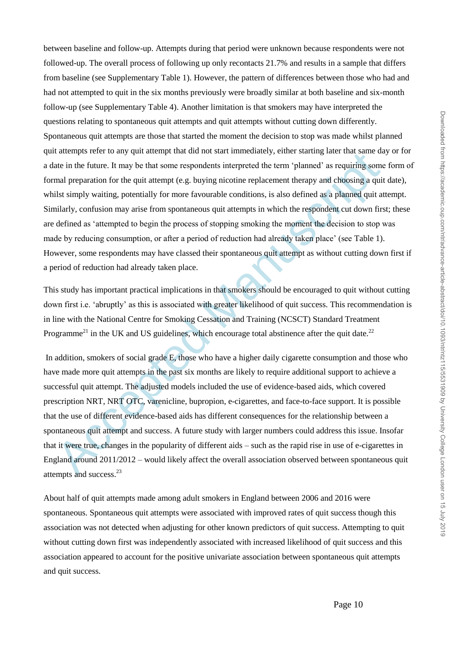at accelere to any quantized that some respondents interpretate the transfer and same distance at the functor. It may be that some respondents interpreted the term planet man greparation for the quit attempt (e.g. buying m between baseline and follow-up. Attempts during that period were unknown because respondents were not followed-up. The overall process of following up only recontacts 21.7% and results in a sample that differs from baseline (see Supplementary Table 1). However, the pattern of differences between those who had and had not attempted to quit in the six months previously were broadly similar at both baseline and six-month follow-up (see Supplementary Table 4). Another limitation is that smokers may have interpreted the questions relating to spontaneous quit attempts and quit attempts without cutting down differently. Spontaneous quit attempts are those that started the moment the decision to stop was made whilst planned quit attempts refer to any quit attempt that did not start immediately, either starting later that same day or for a date in the future. It may be that some respondents interpreted the term 'planned' as requiring some form of formal preparation for the quit attempt (e.g. buying nicotine replacement therapy and choosing a quit date), whilst simply waiting, potentially for more favourable conditions, is also defined as a planned quit attempt. Similarly, confusion may arise from spontaneous quit attempts in which the respondent cut down first; these are defined as 'attempted to begin the process of stopping smoking the moment the decision to stop was made by reducing consumption, or after a period of reduction had already taken place' (see Table 1). However, some respondents may have classed their spontaneous quit attempt as without cutting down first if a period of reduction had already taken place.

This study has important practical implications in that smokers should be encouraged to quit without cutting down first i.e. 'abruptly' as this is associated with greater likelihood of quit success. This recommendation is in line with the National Centre for Smoking Cessation and Training (NCSCT) Standard Treatment Programme<sup>21</sup> in the UK and US guidelines, which encourage total abstinence after the quit date.<sup>22</sup>

In addition, smokers of social grade E, those who have a higher daily cigarette consumption and those who have made more quit attempts in the past six months are likely to require additional support to achieve a successful quit attempt. The adjusted models included the use of evidence-based aids, which covered prescription NRT, NRT OTC, varenicline, bupropion, e-cigarettes, and face-to-face support. It is possible that the use of different evidence-based aids has different consequences for the relationship between a spontaneous quit attempt and success. A future study with larger numbers could address this issue. Insofar that it were true, changes in the popularity of different aids – such as the rapid rise in use of e-cigarettes in England around 2011/2012 – would likely affect the overall association observed between spontaneous quit attempts and success.<sup>23</sup>

About half of quit attempts made among adult smokers in England between 2006 and 2016 were spontaneous. Spontaneous quit attempts were associated with improved rates of quit success though this association was not detected when adjusting for other known predictors of quit success. Attempting to quit without cutting down first was independently associated with increased likelihood of quit success and this association appeared to account for the positive univariate association between spontaneous quit attempts and quit success.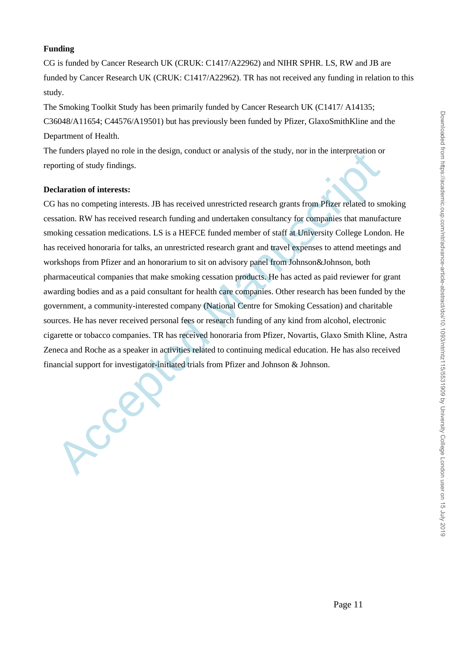## **Funding**

CG is funded by Cancer Research UK (CRUK: C1417/A22962) and NIHR SPHR. LS, RW and JB are funded by Cancer Research UK (CRUK: C1417/A22962). TR has not received any funding in relation to this study.

The Smoking Toolkit Study has been primarily funded by Cancer Research UK (C1417/ A14135; C36048/A11654; C44576/A19501) but has previously been funded by Pfizer, GlaxoSmithKline and the Department of Health.

The funders played no role in the design, conduct or analysis of the study, nor in the interpretation or reporting of study findings.

#### **Declaration of interests:**

Final and the method of the sealer in activities related to entangly and the state of the methods of the same competing interests:<br>
Acception of interests:<br>
Acception and the method manuscription of the solution of the sol CG has no competing interests. JB has received unrestricted research grants from Pfizer related to smoking cessation. RW has received research funding and undertaken consultancy for companies that manufacture smoking cessation medications. LS is a HEFCE funded member of staff at University College London. He has received honoraria for talks, an unrestricted research grant and travel expenses to attend meetings and workshops from Pfizer and an honorarium to sit on advisory panel from Johnson&Johnson, both pharmaceutical companies that make smoking cessation products. He has acted as paid reviewer for grant awarding bodies and as a paid consultant for health care companies. Other research has been funded by the government, a community-interested company (National Centre for Smoking Cessation) and charitable sources. He has never received personal fees or research funding of any kind from alcohol, electronic cigarette or tobacco companies. TR has received honoraria from Pfizer, Novartis, Glaxo Smith Kline, Astra Zeneca and Roche as a speaker in activities related to continuing medical education. He has also received financial support for investigator-initiated trials from Pfizer and Johnson & Johnson.

Page 11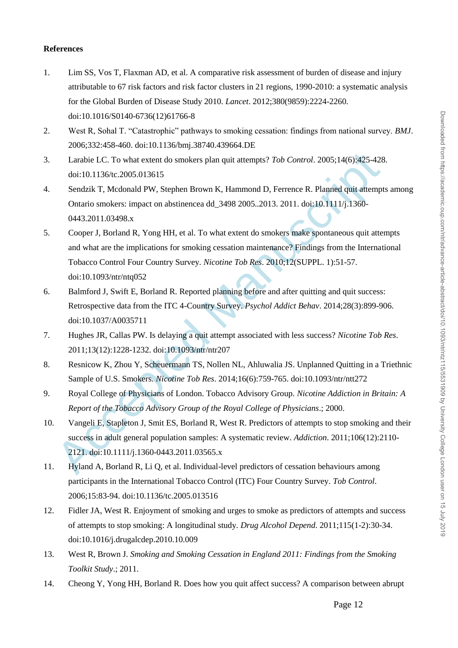### **References**

- 1. Lim SS, Vos T, Flaxman AD, et al. A comparative risk assessment of burden of disease and injury attributable to 67 risk factors and risk factor clusters in 21 regions, 1990-2010: a systematic analysis for the Global Burden of Disease Study 2010. *Lancet*. 2012;380(9859):2224-2260. doi:10.1016/S0140-6736(12)61766-8
- 2. West R, Sohal T. "Catastrophic" pathways to smoking cessation: findings from national survey. *BMJ*. 2006;332:458-460. doi:10.1136/bmj.38740.439664.DE
- 3. Larabie LC. To what extent do smokers plan quit attempts? *Tob Control*. 2005;14(6):425-428. doi:10.1136/tc.2005.013615
- 4. Sendzik T, Mcdonald PW, Stephen Brown K, Hammond D, Ferrence R. Planned quit attempts among Ontario smokers: impact on abstinencea dd\_3498 2005..2013. 2011. doi:10.1111/j.1360- 0443.2011.03498.x
- Larabie LC. To what extent do smokers plan quit attempts? Tob Control. 2005;14(6):425-428<br>doi:10.1136/te.2005.013615<br>Sendzik T, Medonald PW, Stephen Brown K, Hammond D, Ferrence R. Planned quit attempt<br>Ontario smokers: im 5. Cooper J, Borland R, Yong HH, et al. To what extent do smokers make spontaneous quit attempts and what are the implications for smoking cessation maintenance? Findings from the International Tobacco Control Four Country Survey. *Nicotine Tob Res*. 2010;12(SUPPL. 1):51-57. doi:10.1093/ntr/ntq052
- 6. Balmford J, Swift E, Borland R. Reported planning before and after quitting and quit success: Retrospective data from the ITC 4-Country Survey. *Psychol Addict Behav*. 2014;28(3):899-906. doi:10.1037/A0035711
- 7. Hughes JR, Callas PW. Is delaying a quit attempt associated with less success? *Nicotine Tob Res*. 2011;13(12):1228-1232. doi:10.1093/ntr/ntr207
- 8. Resnicow K, Zhou Y, Scheuermann TS, Nollen NL, Ahluwalia JS. Unplanned Quitting in a Triethnic Sample of U.S. Smokers. *Nicotine Tob Res*. 2014;16(6):759-765. doi:10.1093/ntr/ntt272
- 9. Royal College of Physicians of London. Tobacco Advisory Group. *Nicotine Addiction in Britain: A Report of the Tobacco Advisory Group of the Royal College of Physicians*.; 2000.
- 10. Vangeli E, Stapleton J, Smit ES, Borland R, West R. Predictors of attempts to stop smoking and their success in adult general population samples: A systematic review. *Addiction*. 2011;106(12):2110- 2121. doi:10.1111/j.1360-0443.2011.03565.x
- 11. Hyland A, Borland R, Li Q, et al. Individual-level predictors of cessation behaviours among participants in the International Tobacco Control (ITC) Four Country Survey. *Tob Control*. 2006;15:83-94. doi:10.1136/tc.2005.013516
- 12. Fidler JA, West R. Enjoyment of smoking and urges to smoke as predictors of attempts and success of attempts to stop smoking: A longitudinal study. *Drug Alcohol Depend*. 2011;115(1-2):30-34. doi:10.1016/j.drugalcdep.2010.10.009
- 13. West R, Brown J. *Smoking and Smoking Cessation in England 2011: Findings from the Smoking Toolkit Study*.; 2011.
- 14. Cheong Y, Yong HH, Borland R. Does how you quit affect success? A comparison between abrupt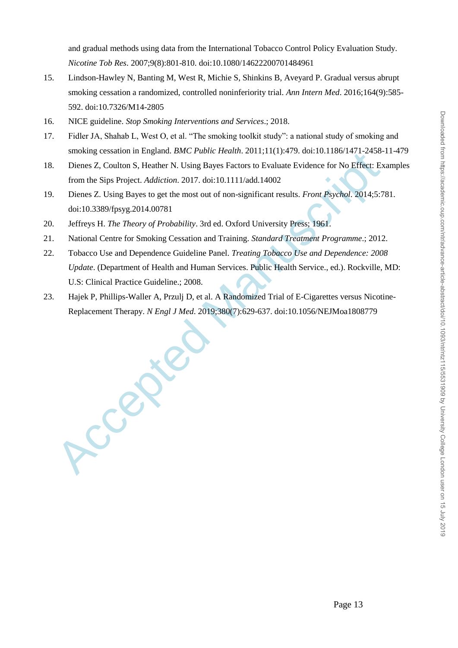and gradual methods using data from the International Tobacco Control Policy Evaluation Study. *Nicotine Tob Res*. 2007;9(8):801-810. doi:10.1080/14622200701484961

- 15. Lindson-Hawley N, Banting M, West R, Michie S, Shinkins B, Aveyard P. Gradual versus abrupt smoking cessation a randomized, controlled noninferiority trial. *Ann Intern Med*. 2016;164(9):585- 592. doi:10.7326/M14-2805
- 16. NICE guideline. *Stop Smoking Interventions and Services*.; 2018.
- 17. Fidler JA, Shahab L, West O, et al. "The smoking toolkit study": a national study of smoking and smoking cessation in England. *BMC Public Health*. 2011;11(1):479. doi:10.1186/1471-2458-11-479
- Dienes Z, Coulton S, Heather N. Using Bayes Factors to Evaluate Evidence for No Effect: Examples from the Sips Project. *Addiction*. 2017. doi:10.1111/add.14002
- 19. Dienes Z. Using Bayes to get the most out of non-significant results. *Front Psychol*. 2014;5:781. doi:10.3389/fpsyg.2014.00781
- 20. Jeffreys H. *The Theory of Probability*. 3rd ed. Oxford University Press; 1961.
- 21. National Centre for Smoking Cessation and Training. *Standard Treatment Programme*.; 2012.
- 18. Dienes Z, Coulton S,<br>from the Sips Project.<br>19. Dienes Z. Using Baye:<br>doi:10.3389/fpsyg.201<br>20. Jeffreys H. *The Theory*<br>21. National Centre for Sm<br>22. Tobacco Use and Deper<br>*Update*. (Department of<br>U.S: Clinical Pract 22. Tobacco Use and Dependence Guideline Panel. *Treating Tobacco Use and Dependence: 2008 Update*. (Department of Health and Human Services. Public Health Service., ed.). Rockville, MD: U.S: Clinical Practice Guideline.; 2008.
- Hajek P, Phillips-Waller A, Przulj D, et al. A Randomized Trial of E-Cigarettes versus Nicotine-Replacement Therapy. *N Engl J Med*. 2019;380(7):629-637. doi:10.1056/NEJMoa1808779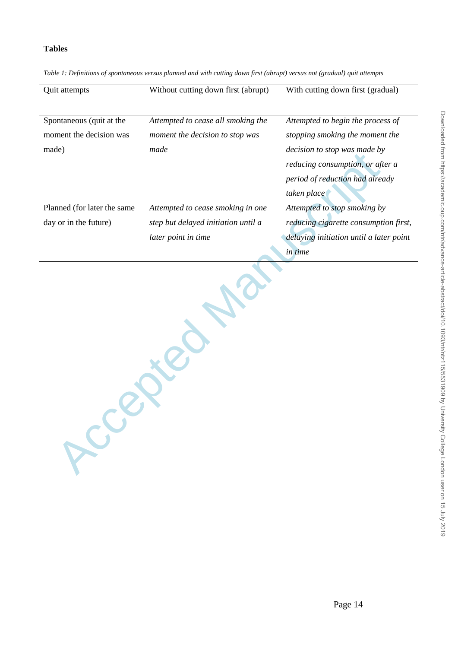# **Tables**

| Quit attempts                | Without cutting down first (abrupt) | With cutting down first (gradual)       |
|------------------------------|-------------------------------------|-----------------------------------------|
|                              |                                     |                                         |
| Spontaneous (quit at the     | Attempted to cease all smoking the  | Attempted to begin the process of       |
| moment the decision was      | moment the decision to stop was     | stopping smoking the moment the         |
| made)                        | made                                | <i>decision to stop was made by</i>     |
|                              |                                     | reducing consumption, or after a        |
|                              |                                     | period of reduction had already         |
|                              |                                     | taken place                             |
| Planned (for later the same) | Attempted to cease smoking in one   | Attempted to stop smoking by            |
| day or in the future)        | step but delayed initiation until a | reducing cigarette consumption first,   |
|                              | later point in time                 | delaying initiation until a later point |
|                              |                                     | <i>in time</i>                          |

Accepted Manuscript

*Table 1: Definitions of spontaneous versus planned and with cutting down first (abrupt) versus not (gradual) quit attempts*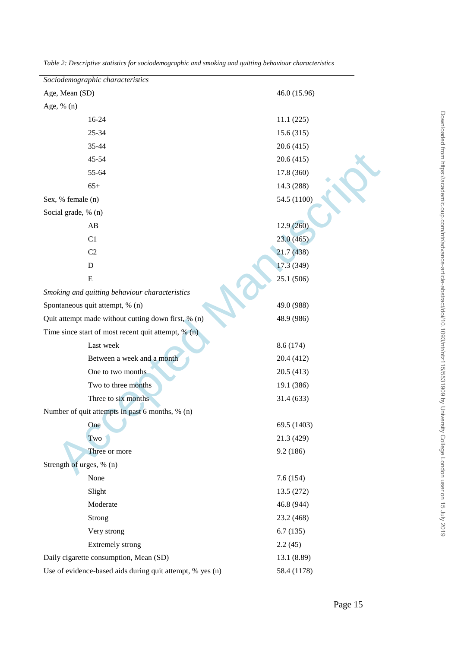| Sociodemographic characteristics                          |              |
|-----------------------------------------------------------|--------------|
| Age, Mean (SD)                                            | 46.0 (15.96) |
| Age, % (n)                                                |              |
| 16-24                                                     | 11.1(225)    |
| 25-34                                                     | 15.6(315)    |
| 35-44                                                     | 20.6(415)    |
| 45-54                                                     | 20.6(415)    |
| 55-64                                                     | 17.8 (360)   |
| $65+$                                                     | 14.3 (288)   |
| Sex, % female (n)                                         | 54.5 (1100)  |
| Social grade, % (n)                                       |              |
| $\mathbf{A}\mathbf{B}$                                    | 12.9(260)    |
| C1                                                        | 23.0(465)    |
| C <sub>2</sub>                                            | 21.7(438)    |
| $\mathbf D$                                               | 17.3 (349)   |
| ${\bf E}$                                                 | 25.1 (506)   |
| Smoking and quitting behaviour characteristics            |              |
| Spontaneous quit attempt, % (n)                           | 49.0 (988)   |
| Quit attempt made without cutting down first, % (n)       | 48.9 (986)   |
| Time since start of most recent quit attempt, $% (n)$     |              |
| Last week                                                 | 8.6 (174)    |
| Between a week and a month                                | 20.4 (412)   |
| One to two months                                         | 20.5(413)    |
| Two to three months                                       | 19.1 (386)   |
| Three to six months                                       | 31.4 (633)   |
| Number of quit attempts in past 6 months, % (n)           |              |
| One                                                       | 69.5 (1403)  |
| Two                                                       | 21.3 (429)   |
| Three or more                                             | 9.2(186)     |
| Strength of urges, % (n)                                  |              |
| None                                                      | 7.6(154)     |
| Slight                                                    | 13.5 (272)   |
| Moderate                                                  | 46.8 (944)   |
| Strong                                                    | 23.2 (468)   |
| Very strong                                               | 6.7(135)     |
| Extremely strong                                          | 2.2(45)      |
| Daily cigarette consumption, Mean (SD)                    | 13.1 (8.89)  |
| Use of evidence-based aids during quit attempt, % yes (n) | 58.4 (1178)  |

*Table 2: Descriptive statistics for sociodemographic and smoking and quitting behaviour characteristics*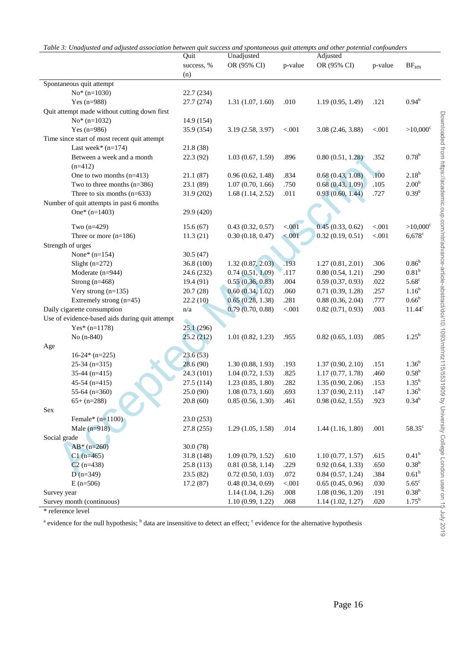<span id="page-15-0"></span>

|                                                | Quit       | Unadjusted        |         | Adjusted         |         |                   |
|------------------------------------------------|------------|-------------------|---------|------------------|---------|-------------------|
|                                                | success, % | OR (95% CI)       | p-value | OR (95% CI)      | p-value | $BF_{\rm HN}$     |
|                                                | (n)        |                   |         |                  |         |                   |
| Spontaneous quit attempt                       |            |                   |         |                  |         |                   |
| $No*$ (n=1030)                                 | 22.7 (234) |                   |         |                  |         |                   |
| Yes $(n=988)$                                  | 27.7 (274) | 1.31(1.07, 1.60)  | .010    | 1.19(0.95, 1.49) | .121    | $0.94^{b}$        |
| Quit attempt made without cutting down first   |            |                   |         |                  |         |                   |
| $No*$ (n=1032)                                 | 14.9 (154) |                   |         |                  |         |                   |
| Yes $(n=986)$                                  | 35.9 (354) | 3.19 (2.58, 3.97) | < 0.001 | 3.08(2.46, 3.88) | < 0.01  | $>10,000^{\circ}$ |
| Time since start of most recent quit attempt   |            |                   |         |                  |         |                   |
| Last week* $(n=174)$                           | 21.8(38)   |                   |         |                  |         |                   |
| Between a week and a month                     | 22.3(92)   | 1.03(0.67, 1.59)  | .896    | 0.80(0.51, 1.28) | .352    | $0.78^{b}$        |
| $(n=412)$                                      |            |                   |         |                  |         |                   |
| One to two months $(n=413)$                    | 21.1(87)   | 0.96(0.62, 1.48)  | .834    | 0.68(0.43, 1.08) | .100    | $2.18^{b}$        |
| Two to three months $(n=386)$                  | 23.1(89)   | 1.07(0.70, 1.66)  | .750    | 0.68(0.43, 1.09) | .105    | 2.00 <sup>b</sup> |
| Three to six months $(n=633)$                  | 31.9 (202) | 1.68(1.14, 2.52)  | .011    | 0.93(0.60, 1.44) | .727    | $0.39^{b}$        |
| Number of quit attempts in past 6 months       |            |                   |         |                  |         |                   |
| One* $(n=1403)$                                | 29.9 (420) |                   |         |                  |         |                   |
| Two $(n=429)$                                  | 15.6(67)   | 0.43(0.32, 0.57)  | < 0.01  | 0.45(0.33, 0.62) | < .001  | $>10,000^{\circ}$ |
| Three or more $(n=186)$                        | 11.3(21)   | 0.30(0.18, 0.47)  | < 0.001 | 0.32(0.19, 0.51) | $< 001$ | $6,678$ c         |
| Strength of urges                              |            |                   |         |                  |         |                   |
| None* $(n=154)$                                | 30.5(47)   |                   |         |                  |         |                   |
| Slight $(n=272)$                               | 36.8 (100) | 1.32(0.87, 2.03)  | .193    | 1.27(0.81, 2.01) | .306    | 0.86 <sup>b</sup> |
| Moderate (n=944)                               | 24.6 (232) | 0.74(0.51, 1.09)  | .117    | 0.80(0.54, 1.21) | .290    | 0.81 <sup>b</sup> |
| Strong $(n=468)$                               | 19.4 (91)  | 0.55(0.36, 0.83)  | .004    | 0.59(0.37, 0.93) | .022    | $5.68^{\circ}$    |
| Very strong $(n=135)$                          | 20.7(28)   | 0.60(0.34, 1.02)  | .060    | 0.71(0.39, 1.28) | .257    | $1.16^{b}$        |
| Extremely strong (n=45)                        | 22.2(10)   | 0.65(0.28, 1.38)  | .281    | 0.88(0.36, 2.04) | .777    | $0.66^{\rm b}$    |
| Daily cigarette consumption                    | n/a        | 0.79(0.70, 0.88)  | $< 001$ | 0.82(0.71, 0.93) | .003    | $11.44^c$         |
| Use of evidence-based aids during quit attempt |            |                   |         |                  |         |                   |
| Yes* $(n=1178)$                                | 25.1(296)  |                   |         |                  |         |                   |
| No (n-840)                                     | 25.2(212)  | 1.01(0.82, 1.23)  | .955    | 0.82(0.65, 1.03) | .085    | $1.25^{\rm b}$    |
| Age                                            |            |                   |         |                  |         |                   |
| $16-24*(n=225)$                                | 23.6(53)   |                   |         |                  |         |                   |
| $25-34$ (n=315)                                | 28.6(90)   | 1.30(0.88, 1.93)  | .193    | 1.37(0.90, 2.10) | .151    | $1.36^{b}$        |
| 35-44 $(n=415)$                                | 24.3 (101) | 1.04(0.72, 1.53)  | .825    | 1.17(0.77, 1.78) | .460    | $0.58^{b}$        |
| $45-54$ (n=415)                                | 27.5 (114) | 1.23(0.85, 1.80)  | .282    | 1.35(0.90, 2.06) | .153    | $1.35^{b}$        |
| 55-64 $(n=360)$                                | 25.0 (90)  | 1.08(0.73, 1.60)  | .693    | 1.37(0.90, 2.11) | .147    | $1.36^{b}$        |
| $65+ (n=288)$                                  | 20.8(60)   | 0.85(0.56, 1.30)  | .461    | 0.98(0.62, 1.55) | .923    | $0.34^{\circ}$    |
| Sex                                            |            |                   |         |                  |         |                   |
| Female* $(n=1100)$                             | 23.0(253)  |                   |         |                  |         |                   |
| Male $(n=918)$                                 | 27.8 (255) | 1.29(1.05, 1.58)  | .014    | 1.44(1.16, 1.80) | .001    | $58.35^{\circ}$   |
| Social grade                                   |            |                   |         |                  |         |                   |
| $AB*(n=260)$                                   | 30.0(78)   |                   |         |                  |         |                   |
| $C1$ (n=465)                                   | 31.8 (148) | 1.09(0.79, 1.52)  | .610    | 1.10(0.77, 1.57) | .615    | 0.41 <sup>b</sup> |
| $C2$ (n=438)                                   | 25.8 (113) | 0.81(0.58, 1.14)  | .229    | 0.92(0.64, 1.33) | .650    | $0.38^{b}$        |
| $D(n=349)$                                     | 23.5(82)   | 0.72(0.50, 1.03)  | .072    | 0.84(0.57, 1.24) | .384    | 0.61 <sup>b</sup> |
| $E(n=506)$                                     | 17.2(87)   | 0.48(0.34, 0.69)  | < 0.001 | 0.65(0.45, 0.96) | .030    | $5.65^{\circ}$    |
| Survey year                                    |            | 1.14(1.04, 1.26)  | $.008$  | 1.08(0.96, 1.20) | .191    | $0.38^{b}$        |
| Survey month (continuous)                      |            | 1.10(0.99, 1.22)  | .068    | 1.14(1.02, 1.27) | .020    | $1.75^{\rm b}$    |

 $\frac{3a_1b_2 + b_3b_4 + b_5b_5 + c_6b_6}{a_1a_2a_3a_4b_5}$ 

<sup>a</sup> evidence for the null hypothesis; <sup>b</sup> data are insensitive to detect an effect; <sup>c</sup> evidence for the alternative hypothesis